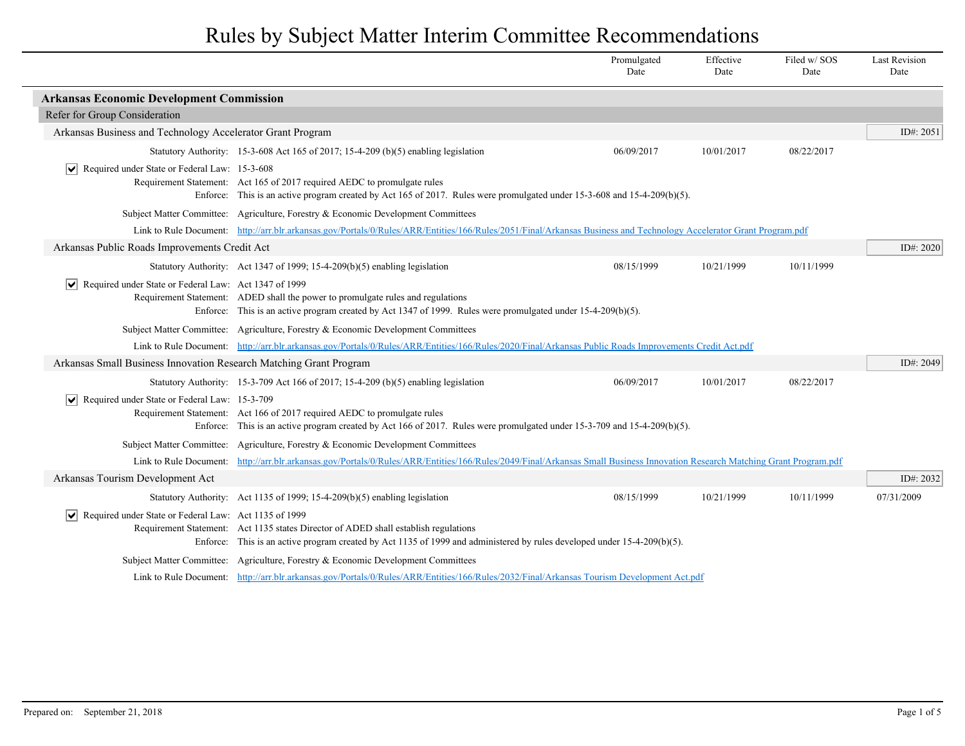|                                                                        |                                                                                                                                                                                                                 | Promulgated<br>Date | Effective<br>Date | Filed w/SOS<br>Date | <b>Last Revision</b><br>Date |
|------------------------------------------------------------------------|-----------------------------------------------------------------------------------------------------------------------------------------------------------------------------------------------------------------|---------------------|-------------------|---------------------|------------------------------|
| <b>Arkansas Economic Development Commission</b>                        |                                                                                                                                                                                                                 |                     |                   |                     |                              |
| Refer for Group Consideration                                          |                                                                                                                                                                                                                 |                     |                   |                     |                              |
| Arkansas Business and Technology Accelerator Grant Program             |                                                                                                                                                                                                                 |                     |                   |                     | ID#: $2051$                  |
|                                                                        | Statutory Authority: 15-3-608 Act 165 of 2017; 15-4-209 (b)(5) enabling legislation                                                                                                                             | 06/09/2017          | 10/01/2017        | 08/22/2017          |                              |
| $\sqrt{\phantom{a}}$ Required under State or Federal Law: 15-3-608     | Requirement Statement: Act 165 of 2017 required AEDC to promulgate rules<br>Enforce: This is an active program created by Act 165 of 2017. Rules were promulgated under 15-3-608 and 15-4-209(b)(5).            |                     |                   |                     |                              |
|                                                                        | Subject Matter Committee: Agriculture, Forestry & Economic Development Committees                                                                                                                               |                     |                   |                     |                              |
|                                                                        | Link to Rule Document: http://arr.blr.arkansas.gov/Portals/0/Rules/ARR/Entities/166/Rules/2051/Final/Arkansas Business and Technology Accelerator Grant Program.pdf                                             |                     |                   |                     |                              |
| Arkansas Public Roads Improvements Credit Act                          |                                                                                                                                                                                                                 |                     |                   |                     | ID#: 2020                    |
|                                                                        | Statutory Authority: Act 1347 of 1999; 15-4-209(b)(5) enabling legislation                                                                                                                                      | 08/15/1999          | 10/21/1999        | 10/11/1999          |                              |
| $\triangleright$ Required under State or Federal Law: Act 1347 of 1999 | Requirement Statement: ADED shall the power to promulgate rules and regulations<br>Enforce: This is an active program created by Act 1347 of 1999. Rules were promulgated under 15-4-209(b)(5).                 |                     |                   |                     |                              |
|                                                                        | Subject Matter Committee: Agriculture, Forestry & Economic Development Committees                                                                                                                               |                     |                   |                     |                              |
|                                                                        | Link to Rule Document: http://arr.blr.arkansas.gov/Portals/0/Rules/ARR/Entities/166/Rules/2020/Final/Arkansas Public Roads Improvements Credit Act.pdf                                                          |                     |                   |                     |                              |
| Arkansas Small Business Innovation Research Matching Grant Program     |                                                                                                                                                                                                                 |                     |                   |                     | ID#: 2049                    |
|                                                                        | Statutory Authority: 15-3-709 Act 166 of 2017; 15-4-209 (b)(5) enabling legislation                                                                                                                             | 06/09/2017          | 10/01/2017        | 08/22/2017          |                              |
| $\triangleright$ Required under State or Federal Law: 15-3-709         | Requirement Statement: Act 166 of 2017 required AEDC to promulgate rules<br>Enforce: This is an active program created by Act 166 of 2017. Rules were promulgated under 15-3-709 and 15-4-209(b)(5).            |                     |                   |                     |                              |
|                                                                        | Subject Matter Committee: Agriculture, Forestry & Economic Development Committees                                                                                                                               |                     |                   |                     |                              |
| Link to Rule Document:                                                 | http://arr.blr.arkansas.gov/Portals/0/Rules/ARR/Entities/166/Rules/2049/Final/Arkansas Small Business Innovation Research Matching Grant Program.pdf                                                            |                     |                   |                     |                              |
| Arkansas Tourism Development Act                                       |                                                                                                                                                                                                                 |                     |                   |                     | ID#: 2032                    |
|                                                                        | Statutory Authority: Act 1135 of 1999; 15-4-209(b)(5) enabling legislation                                                                                                                                      | 08/15/1999          | 10/21/1999        | 10/11/1999          | 07/31/2009                   |
| $ \mathbf{v} $ Required under State or Federal Law: Act 1135 of 1999   | Requirement Statement: Act 1135 states Director of ADED shall establish regulations<br>Enforce: This is an active program created by Act 1135 of 1999 and administered by rules developed under 15-4-209(b)(5). |                     |                   |                     |                              |
|                                                                        | Subject Matter Committee: Agriculture, Forestry & Economic Development Committees                                                                                                                               |                     |                   |                     |                              |
|                                                                        | Link to Rule Document: http://arr.blr.arkansas.gov/Portals/0/Rules/ARR/Entities/166/Rules/2032/Final/Arkansas Tourism Development Act.pdf                                                                       |                     |                   |                     |                              |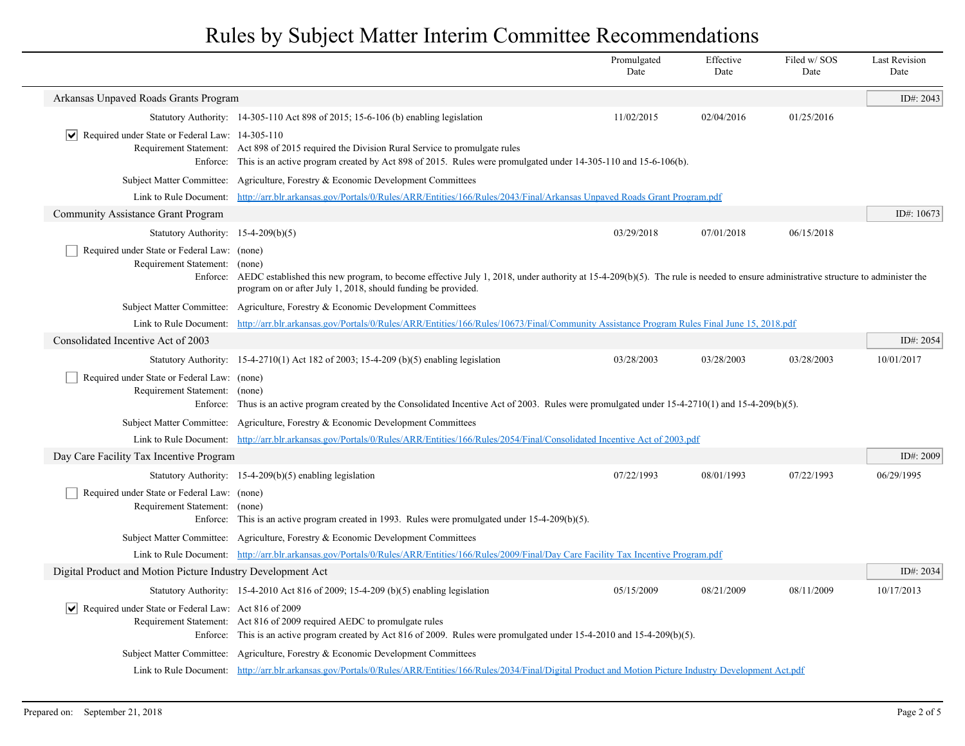|                                                                              |                                                                                                                                                                                                                                                           | Promulgated<br>Date | Effective<br>Date | Filed w/ SOS<br>Date | <b>Last Revision</b><br>Date |
|------------------------------------------------------------------------------|-----------------------------------------------------------------------------------------------------------------------------------------------------------------------------------------------------------------------------------------------------------|---------------------|-------------------|----------------------|------------------------------|
| Arkansas Unpaved Roads Grants Program                                        |                                                                                                                                                                                                                                                           |                     |                   |                      | ID#: 2043                    |
|                                                                              | Statutory Authority: 14-305-110 Act 898 of 2015; 15-6-106 (b) enabling legislation                                                                                                                                                                        | 11/02/2015          | 02/04/2016        | 01/25/2016           |                              |
| $ \mathbf{v} $ Required under State or Federal Law: 14-305-110<br>Enforce:   | Requirement Statement: Act 898 of 2015 required the Division Rural Service to promulgate rules<br>This is an active program created by Act 898 of 2015. Rules were promulgated under 14-305-110 and 15-6-106(b).                                          |                     |                   |                      |                              |
|                                                                              | Subject Matter Committee: Agriculture, Forestry & Economic Development Committees                                                                                                                                                                         |                     |                   |                      |                              |
|                                                                              | Link to Rule Document: http://arr.blr.arkansas.gov/Portals/0/Rules/ARR/Entities/166/Rules/2043/Final/Arkansas Unpaved Roads Grant Program.pdf                                                                                                             |                     |                   |                      |                              |
| <b>Community Assistance Grant Program</b>                                    |                                                                                                                                                                                                                                                           |                     |                   |                      | ID#: 10673                   |
| Statutory Authority: 15-4-209(b)(5)                                          |                                                                                                                                                                                                                                                           | 03/29/2018          | 07/01/2018        | 06/15/2018           |                              |
| Required under State or Federal Law: (none)<br>Requirement Statement: (none) | Enforce: AEDC established this new program, to become effective July 1, 2018, under authority at 15-4-209(b)(5). The rule is needed to ensure administrative structure to administer the<br>program on or after July 1, 2018, should funding be provided. |                     |                   |                      |                              |
|                                                                              | Subject Matter Committee: Agriculture, Forestry & Economic Development Committees                                                                                                                                                                         |                     |                   |                      |                              |
|                                                                              | Link to Rule Document: http://arr.blr.arkansas.gov/Portals/0/Rules/ARR/Entities/166/Rules/10673/Final/Community Assistance Program Rules Final June 15, 2018.pdf                                                                                          |                     |                   |                      |                              |
| Consolidated Incentive Act of 2003                                           |                                                                                                                                                                                                                                                           |                     |                   |                      | ID#: 2054                    |
|                                                                              | Statutory Authority: $15-4-2710(1)$ Act 182 of 2003; 15-4-209 (b)(5) enabling legislation                                                                                                                                                                 | 03/28/2003          | 03/28/2003        | 03/28/2003           | 10/01/2017                   |
| Required under State or Federal Law: (none)<br>Requirement Statement:        | (none)<br>Enforce: Thus is an active program created by the Consolidated Incentive Act of 2003. Rules were promulgated under 15-4-2710(1) and 15-4-209(b)(5).                                                                                             |                     |                   |                      |                              |
|                                                                              | Subject Matter Committee: Agriculture, Forestry & Economic Development Committees                                                                                                                                                                         |                     |                   |                      |                              |
|                                                                              | Link to Rule Document: http://arr.blr.arkansas.gov/Portals/0/Rules/ARR/Entities/166/Rules/2054/Final/Consolidated Incentive Act of 2003.pdf                                                                                                               |                     |                   |                      |                              |
| Day Care Facility Tax Incentive Program                                      |                                                                                                                                                                                                                                                           |                     |                   |                      | ID#: 2009                    |
|                                                                              | Statutory Authority: $15-4-209(b)(5)$ enabling legislation                                                                                                                                                                                                | 07/22/1993          | 08/01/1993        | 07/22/1993           | 06/29/1995                   |
| Required under State or Federal Law: (none)<br>Requirement Statement: (none) | Enforce: This is an active program created in 1993. Rules were promulgated under $15-4-209(b)(5)$ .                                                                                                                                                       |                     |                   |                      |                              |
|                                                                              | Subject Matter Committee: Agriculture, Forestry & Economic Development Committees                                                                                                                                                                         |                     |                   |                      |                              |
|                                                                              | Link to Rule Document: http://arr.blr.arkansas.gov/Portals/0/Rules/ARR/Entities/166/Rules/2009/Final/Day Care Facility Tax Incentive Program.pdf                                                                                                          |                     |                   |                      |                              |
| Digital Product and Motion Picture Industry Development Act                  |                                                                                                                                                                                                                                                           |                     |                   |                      | ID#: 2034                    |
|                                                                              | Statutory Authority: $15-4-2010$ Act 816 of 2009; 15-4-209 (b)(5) enabling legislation                                                                                                                                                                    | 05/15/2009          | 08/21/2009        | 08/11/2009           | 10/17/2013                   |
| Required under State or Federal Law: Act 816 of 2009                         | Requirement Statement: Act 816 of 2009 required AEDC to promulgate rules<br>Enforce: This is an active program created by Act 816 of 2009. Rules were promulgated under 15-4-2010 and 15-4-209(b)(5).                                                     |                     |                   |                      |                              |
|                                                                              | Subject Matter Committee: Agriculture, Forestry & Economic Development Committees                                                                                                                                                                         |                     |                   |                      |                              |
|                                                                              | Link to Rule Document: http://arr.blr.arkansas.gov/Portals/0/Rules/ARR/Entities/166/Rules/2034/Final/Digital Product and Motion Picture Industry Development Act.pdf                                                                                      |                     |                   |                      |                              |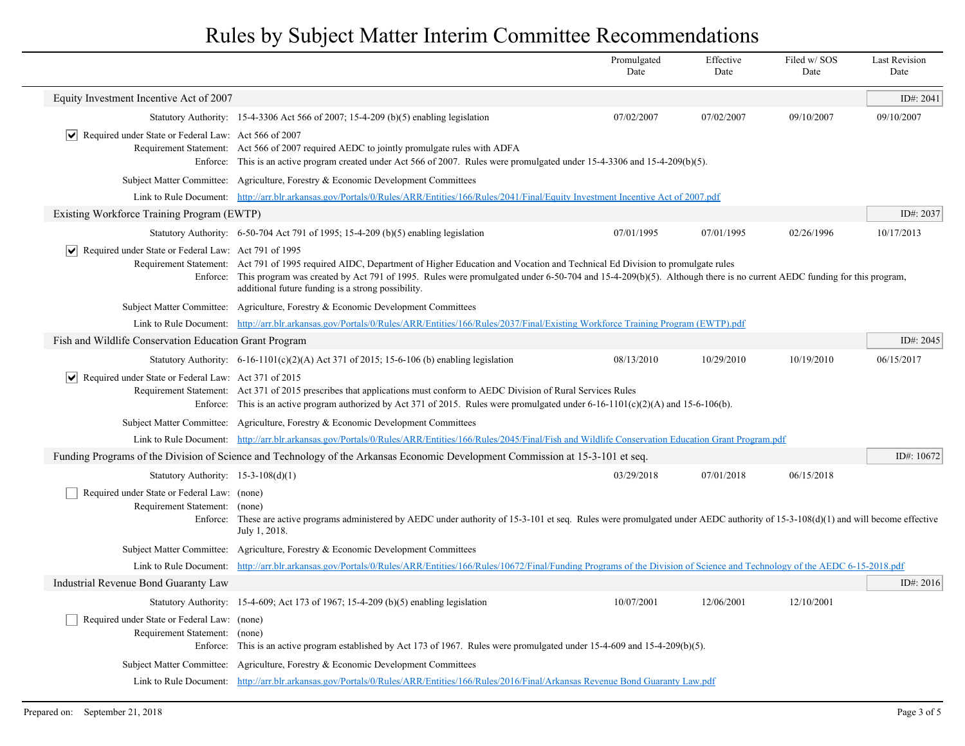|                                                                              |                                                                                                                                                                                                                                                                                                                                                                                      | Promulgated<br>Date | Effective<br>Date | Filed w/SOS<br>Date | <b>Last Revision</b><br>Date |
|------------------------------------------------------------------------------|--------------------------------------------------------------------------------------------------------------------------------------------------------------------------------------------------------------------------------------------------------------------------------------------------------------------------------------------------------------------------------------|---------------------|-------------------|---------------------|------------------------------|
| Equity Investment Incentive Act of 2007                                      |                                                                                                                                                                                                                                                                                                                                                                                      |                     |                   |                     | ID#: 2041                    |
|                                                                              | Statutory Authority: 15-4-3306 Act 566 of 2007; 15-4-209 (b)(5) enabling legislation                                                                                                                                                                                                                                                                                                 | 07/02/2007          | 07/02/2007        | 09/10/2007          | 09/10/2007                   |
| $ \mathbf{v} $ Required under State or Federal Law: Act 566 of 2007          | Requirement Statement: Act 566 of 2007 required AEDC to jointly promulgate rules with ADFA<br>Enforce: This is an active program created under Act 566 of 2007. Rules were promulgated under 15-4-3306 and 15-4-209(b)(5).                                                                                                                                                           |                     |                   |                     |                              |
|                                                                              | Subject Matter Committee: Agriculture, Forestry & Economic Development Committees                                                                                                                                                                                                                                                                                                    |                     |                   |                     |                              |
|                                                                              | Link to Rule Document: http://arr.blr.arkansas.gov/Portals/0/Rules/ARR/Entities/166/Rules/2041/Final/Equity Investment Incentive Act of 2007.pdf                                                                                                                                                                                                                                     |                     |                   |                     |                              |
| Existing Workforce Training Program (EWTP)                                   |                                                                                                                                                                                                                                                                                                                                                                                      |                     |                   |                     | ID#: $2037$                  |
|                                                                              | Statutory Authority: $6-50-704$ Act 791 of 1995; 15-4-209 (b)(5) enabling legislation                                                                                                                                                                                                                                                                                                | 07/01/1995          | 07/01/1995        | 02/26/1996          | 10/17/2013                   |
| $ \mathbf{v} $ Required under State or Federal Law: Act 791 of 1995          | Requirement Statement: Act 791 of 1995 required AIDC, Department of Higher Education and Vocation and Technical Ed Division to promulgate rules<br>Enforce: This program was created by Act 791 of 1995. Rules were promulgated under 6-50-704 and 15-4-209(b)(5). Although there is no current AEDC funding for this program,<br>additional future funding is a strong possibility. |                     |                   |                     |                              |
|                                                                              | Subject Matter Committee: Agriculture, Forestry & Economic Development Committees                                                                                                                                                                                                                                                                                                    |                     |                   |                     |                              |
|                                                                              | Link to Rule Document: http://arr.blr.arkansas.gov/Portals/0/Rules/ARR/Entities/166/Rules/2037/Final/Existing Workforce Training Program (EWTP).pdf                                                                                                                                                                                                                                  |                     |                   |                     |                              |
| Fish and Wildlife Conservation Education Grant Program                       |                                                                                                                                                                                                                                                                                                                                                                                      |                     |                   |                     | ID#: 2045                    |
|                                                                              | Statutory Authority: $6-16-1101(c)(2)(A)$ Act 371 of 2015; 15-6-106 (b) enabling legislation                                                                                                                                                                                                                                                                                         | 08/13/2010          | 10/29/2010        | 10/19/2010          | 06/15/2017                   |
| $ \mathbf{v} $ Required under State or Federal Law: Act 371 of 2015          | Requirement Statement: Act 371 of 2015 prescribes that applications must conform to AEDC Division of Rural Services Rules<br>Enforce: This is an active program authorized by Act 371 of 2015. Rules were promulgated under 6-16-1101(c)(2)(A) and 15-6-106(b).                                                                                                                      |                     |                   |                     |                              |
|                                                                              | Subject Matter Committee: Agriculture, Forestry & Economic Development Committees                                                                                                                                                                                                                                                                                                    |                     |                   |                     |                              |
|                                                                              | Link to Rule Document: http://arr.blr.arkansas.gov/Portals/0/Rules/ARR/Entities/166/Rules/2045/Final/Fish and Wildlife Conservation Education Grant Program.pdf                                                                                                                                                                                                                      |                     |                   |                     |                              |
|                                                                              | Funding Programs of the Division of Science and Technology of the Arkansas Economic Development Commission at 15-3-101 et seq.                                                                                                                                                                                                                                                       |                     |                   |                     | ID#: 10672                   |
| Statutory Authority: $15-3-108(d)(1)$                                        |                                                                                                                                                                                                                                                                                                                                                                                      | 03/29/2018          | 07/01/2018        | 06/15/2018          |                              |
| Required under State or Federal Law: (none)<br>Requirement Statement:        | (none)<br>Enforce: These are active programs administered by AEDC under authority of 15-3-101 et seq. Rules were promulgated under AEDC authority of 15-3-108(d)(1) and will become effective<br>July 1, 2018.                                                                                                                                                                       |                     |                   |                     |                              |
|                                                                              | Subject Matter Committee: Agriculture, Forestry & Economic Development Committees                                                                                                                                                                                                                                                                                                    |                     |                   |                     |                              |
|                                                                              | Link to Rule Document: http://arr.blr.arkansas.gov/Portals/0/Rules/ARR/Entities/166/Rules/10672/Final/Funding Programs of the Division of Science and Technology of the AEDC 6-15-2018.pdf                                                                                                                                                                                           |                     |                   |                     |                              |
| Industrial Revenue Bond Guaranty Law                                         |                                                                                                                                                                                                                                                                                                                                                                                      |                     |                   |                     | ID#: 2016                    |
|                                                                              | Statutory Authority: 15-4-609; Act 173 of 1967; 15-4-209 (b)(5) enabling legislation                                                                                                                                                                                                                                                                                                 | 10/07/2001          | 12/06/2001        | 12/10/2001          |                              |
| Required under State or Federal Law: (none)<br>Requirement Statement: (none) | Enforce: This is an active program established by Act 173 of 1967. Rules were promulgated under $15-4-609$ and $15-4-209(b)(5)$ .                                                                                                                                                                                                                                                    |                     |                   |                     |                              |
|                                                                              | Subject Matter Committee: Agriculture, Forestry & Economic Development Committees                                                                                                                                                                                                                                                                                                    |                     |                   |                     |                              |
|                                                                              | Link to Rule Document: http://arr.blr.arkansas.gov/Portals/0/Rules/ARR/Entities/166/Rules/2016/Final/Arkansas Revenue Bond Guaranty Law.pdf                                                                                                                                                                                                                                          |                     |                   |                     |                              |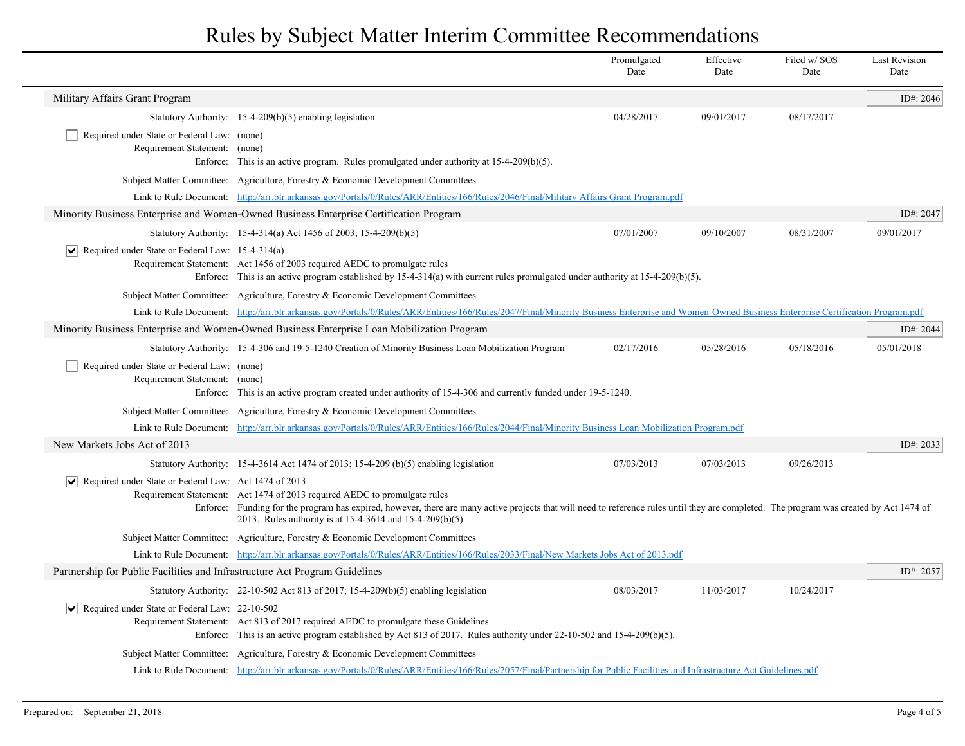|                                                                                   |                                                                                                                                                                                                                                                                                                                                    | Promulgated<br>Date | Effective<br>Date | Filed w/SOS<br>Date | <b>Last Revision</b><br>Date |
|-----------------------------------------------------------------------------------|------------------------------------------------------------------------------------------------------------------------------------------------------------------------------------------------------------------------------------------------------------------------------------------------------------------------------------|---------------------|-------------------|---------------------|------------------------------|
| Military Affairs Grant Program                                                    |                                                                                                                                                                                                                                                                                                                                    |                     |                   |                     | ID#: $2046$                  |
|                                                                                   | Statutory Authority: $15-4-209(b)(5)$ enabling legislation                                                                                                                                                                                                                                                                         | 04/28/2017          | 09/01/2017        | 08/17/2017          |                              |
| Required under State or Federal Law: (none)<br>Requirement Statement:             | (none)<br>Enforce: This is an active program. Rules promulgated under authority at $15-4-209(b)(5)$ .                                                                                                                                                                                                                              |                     |                   |                     |                              |
|                                                                                   | Subject Matter Committee: Agriculture, Forestry & Economic Development Committees                                                                                                                                                                                                                                                  |                     |                   |                     |                              |
|                                                                                   | Link to Rule Document: http://arr.blr.arkansas.gov/Portals/0/Rules/ARR/Entities/166/Rules/2046/Final/Military Affairs Grant Program.pdf                                                                                                                                                                                            |                     |                   |                     |                              |
|                                                                                   | Minority Business Enterprise and Women-Owned Business Enterprise Certification Program                                                                                                                                                                                                                                             |                     |                   |                     | ID#: $2047$                  |
|                                                                                   | Statutory Authority: 15-4-314(a) Act 1456 of 2003; 15-4-209(b)(5)                                                                                                                                                                                                                                                                  | 07/01/2007          | 09/10/2007        | 08/31/2007          | 09/01/2017                   |
| $ \vee $ Required under State or Federal Law: 15-4-314(a)                         | Requirement Statement: Act 1456 of 2003 required AEDC to promulgate rules<br>Enforce: This is an active program established by 15-4-314(a) with current rules promulgated under authority at 15-4-209(b)(5).                                                                                                                       |                     |                   |                     |                              |
|                                                                                   | Subject Matter Committee: Agriculture, Forestry & Economic Development Committees                                                                                                                                                                                                                                                  |                     |                   |                     |                              |
|                                                                                   | Link to Rule Document: http://arr.blr.arkansas.gov/Portals/0/Rules/ARR/Entities/166/Rules/2047/Final/Minority Business Enterprise and Women-Owned Business Enterprise Certification Program.pdf                                                                                                                                    |                     |                   |                     |                              |
|                                                                                   | Minority Business Enterprise and Women-Owned Business Enterprise Loan Mobilization Program                                                                                                                                                                                                                                         |                     |                   |                     | ID#: 2044                    |
|                                                                                   | Statutory Authority: 15-4-306 and 19-5-1240 Creation of Minority Business Loan Mobilization Program                                                                                                                                                                                                                                | 02/17/2016          | 05/28/2016        | 05/18/2016          | 05/01/2018                   |
| Required under State or Federal Law: (none)<br>Requirement Statement:<br>Enforce: | (none)<br>This is an active program created under authority of 15-4-306 and currently funded under 19-5-1240.                                                                                                                                                                                                                      |                     |                   |                     |                              |
|                                                                                   | Subject Matter Committee: Agriculture, Forestry & Economic Development Committees                                                                                                                                                                                                                                                  |                     |                   |                     |                              |
| Link to Rule Document:                                                            | http://arr.blr.arkansas.gov/Portals/0/Rules/ARR/Entities/166/Rules/2044/Final/Minority Business Loan Mobilization Program.pdf                                                                                                                                                                                                      |                     |                   |                     |                              |
| New Markets Jobs Act of 2013                                                      |                                                                                                                                                                                                                                                                                                                                    |                     |                   |                     | ID#: 2033                    |
|                                                                                   | Statutory Authority: $15-4-3614$ Act 1474 of 2013; 15-4-209 (b)(5) enabling legislation                                                                                                                                                                                                                                            | 07/03/2013          | 07/03/2013        | 09/26/2013          |                              |
| $ \mathbf{v} $ Required under State or Federal Law: Act 1474 of 2013              | Requirement Statement: Act 1474 of 2013 required AEDC to promulgate rules<br>Enforce: Funding for the program has expired, however, there are many active projects that will need to reference rules until they are completed. The program was created by Act 1474 of<br>2013. Rules authority is at 15-4-3614 and 15-4-209(b)(5). |                     |                   |                     |                              |
|                                                                                   | Subject Matter Committee: Agriculture, Forestry & Economic Development Committees                                                                                                                                                                                                                                                  |                     |                   |                     |                              |
|                                                                                   | Link to Rule Document: http://arr.blr.arkansas.gov/Portals/0/Rules/ARR/Entities/166/Rules/2033/Final/New Markets Jobs Act of 2013.pdf                                                                                                                                                                                              |                     |                   |                     |                              |
| Partnership for Public Facilities and Infrastructure Act Program Guidelines       |                                                                                                                                                                                                                                                                                                                                    |                     |                   |                     | ID#: 2057                    |
|                                                                                   | Statutory Authority: 22-10-502 Act 813 of 2017; 15-4-209(b)(5) enabling legislation                                                                                                                                                                                                                                                | 08/03/2017          | 11/03/2017        | 10/24/2017          |                              |
| Required under State or Federal Law: 22-10-502                                    | Requirement Statement: Act 813 of 2017 required AEDC to promulgate these Guidelines<br>Enforce: This is an active program established by Act 813 of 2017. Rules authority under $22-10-502$ and $15-4-209(b)(5)$ .                                                                                                                 |                     |                   |                     |                              |
|                                                                                   | Subject Matter Committee: Agriculture, Forestry & Economic Development Committees                                                                                                                                                                                                                                                  |                     |                   |                     |                              |
|                                                                                   | Link to Rule Document: http://arr.blr.arkansas.gov/Portals/0/Rules/ARR/Entities/166/Rules/2057/Final/Partnership for Public Facilities and Infrastructure Act Guidelines.pdf                                                                                                                                                       |                     |                   |                     |                              |